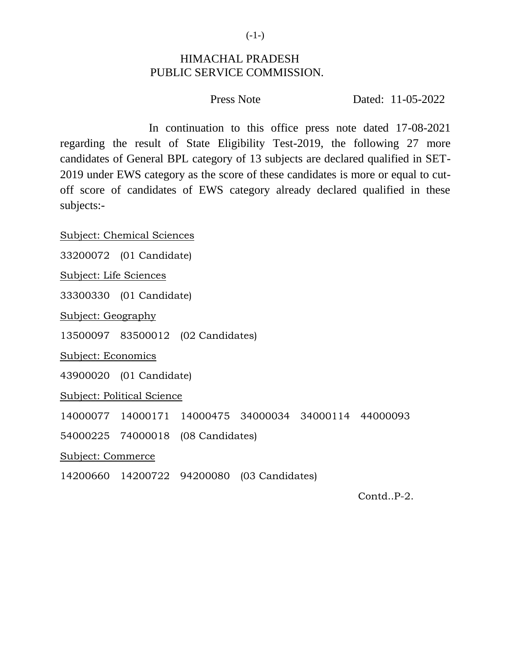$(-1-)$ 

## HIMACHAL PRADESH PUBLIC SERVICE COMMISSION.

Press Note **Dated:** 11-05-2022

In continuation to this office press note dated 17-08-2021 regarding the result of State Eligibility Test-2019, the following 27 more candidates of General BPL category of 13 subjects are declared qualified in SET-2019 under EWS category as the score of these candidates is more or equal to cutoff score of candidates of EWS category already declared qualified in these subjects:-

Subject: Chemical Sciences

33200072 (01 Candidate)

Subject: Life Sciences

33300330 (01 Candidate)

Subject: Geography

13500097 83500012 (02 Candidates)

Subject: Economics

43900020 (01 Candidate)

Subject: Political Science

14000077 14000171 14000475 34000034 34000114 44000093

54000225 74000018 (08 Candidates)

Subject: Commerce

14200660 14200722 94200080 (03 Candidates)

Contd..P-2.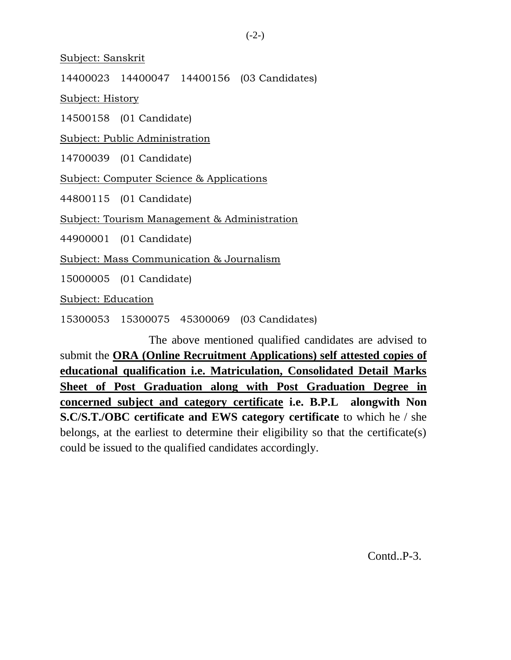Subject: Sanskrit

14400023 14400047 14400156 (03 Candidates)

Subject: History

14500158 (01 Candidate)

Subject: Public Administration

14700039 (01 Candidate)

Subject: Computer Science & Applications

44800115 (01 Candidate)

Subject: Tourism Management & Administration

44900001 (01 Candidate)

Subject: Mass Communication & Journalism

15000005 (01 Candidate)

Subject: Education

15300053 15300075 45300069 (03 Candidates)

The above mentioned qualified candidates are advised to submit the **ORA (Online Recruitment Applications) self attested copies of educational qualification i.e. Matriculation, Consolidated Detail Marks Sheet of Post Graduation along with Post Graduation Degree in concerned subject and category certificate i.e. B.P.L alongwith Non S.C/S.T./OBC certificate and EWS category certificate** to which he / she belongs, at the earliest to determine their eligibility so that the certificate(s) could be issued to the qualified candidates accordingly.

Contd..P-3.